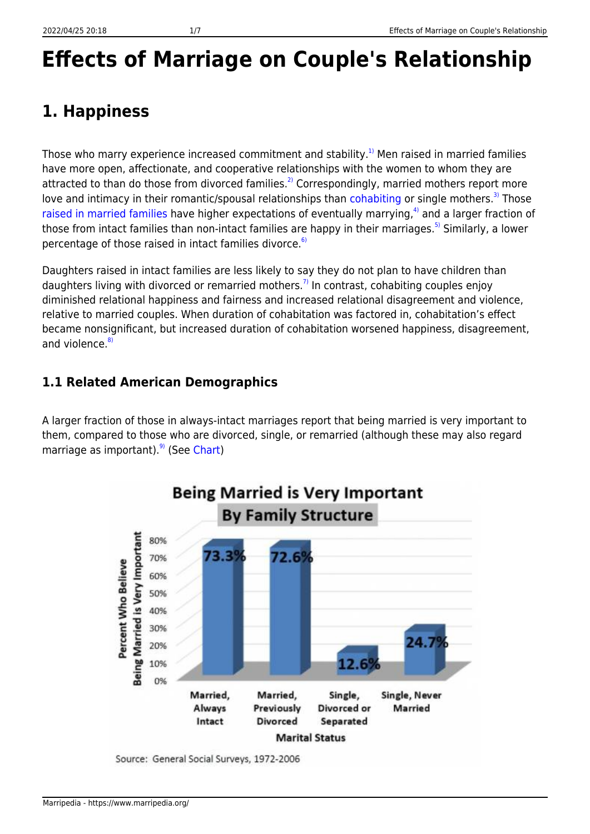## **Effects of Marriage on Couple's Relationship**

### **1. Happiness**

Those who marry experience increased commitment and stability.<sup>[1\)](#page--1-0)</sup> Men raised in married families have more open, affectionate, and cooperative relationships with the women to whom they are attracted to than do those from divorced families.<sup>[2\)](#page--1-0)</sup> Correspondingly, married mothers report more love and intimacy in their romantic/spousal relationships than [cohabiting](https://www.marripedia.org/cohabitation.and.future.marital.stability) or single mothers.<sup>[3\)](#page--1-0)</sup> Those [raised in married families](https://www.marripedia.org/effect_of_divorce_on_children_s_future_relationships) have higher expectations of eventually marrying, $4$ ) and a larger fraction of those from intact families than non-intact families are happy in their marriages.<sup>[5\)](#page--1-0)</sup> Similarly, a lower percentage of those raised in intact families divorce.<sup>[6\)](#page--1-0)</sup>

Daughters raised in intact families are less likely to say they do not plan to have children than daughters living with divorced or remarried mothers.<sup>[7\)](#page--1-0)</sup> In contrast, cohabiting couples enjoy diminished relational happiness and fairness and increased relational disagreement and violence, relative to married couples. When duration of cohabitation was factored in, cohabitation's effect became nonsignificant, but increased duration of cohabitation worsened happiness, disagreement, and violence. $8$ 

#### **1.1 Related American Demographics**

A larger fraction of those in always-intact marriages report that being married is very important to them, compared to those who are divorced, single, or remarried (although these may also regard marriage as important). $9$  (See [Chart](http://marri.us/wp-content/uploads/MA-82-84-176.pdf))



Source: General Social Surveys, 1972-2006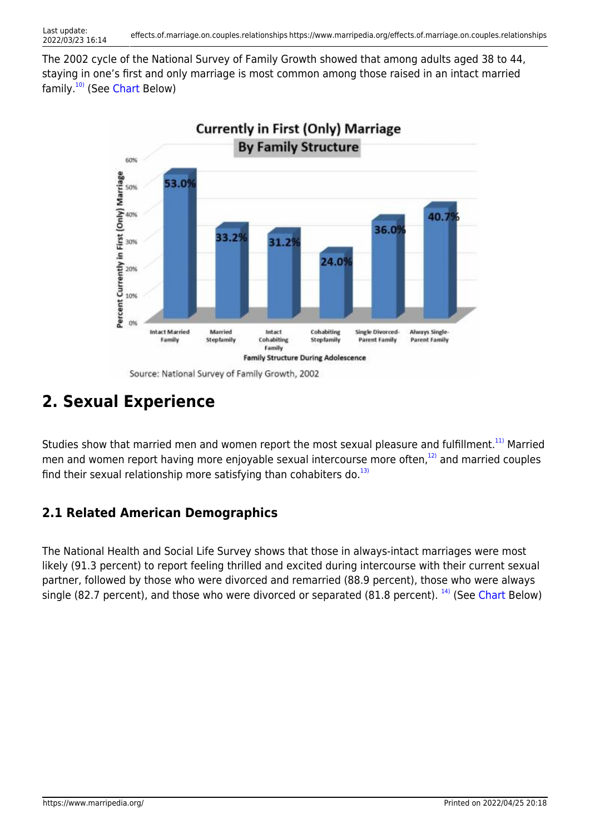The 2002 cycle of the National Survey of Family Growth showed that among adults aged 38 to 44, staying in one's first and only marriage is most common among those raised in an intact married family.[10\)](#page--1-0) (See [Chart](http://marri.us/wp-content/uploads/MA-135.pdf) Below)



Source: National Survey of Family Growth, 2002

### **2. Sexual Experience**

Studies show that married men and women report the most sexual pleasure and fulfillment.<sup>[11\)](#page--1-0)</sup> Married men and women report having more enjoyable sexual intercourse more often,<sup>[12\)](#page--1-0)</sup> and married couples find their sexual relationship more satisfying than cohabiters do. $^{13)}$  $^{13)}$  $^{13)}$ 

#### **2.1 Related American Demographics**

The National Health and Social Life Survey shows that those in always-intact marriages were most likely (91.3 percent) to report feeling thrilled and excited during intercourse with their current sexual partner, followed by those who were divorced and remarried (88.9 percent), those who were always single (82.7 percent), and those who were divorced or separated (81.8 percent).  $^{14}$  (See [Chart](http://marri.us/wp-content/uploads/MA-116.pdf) Below)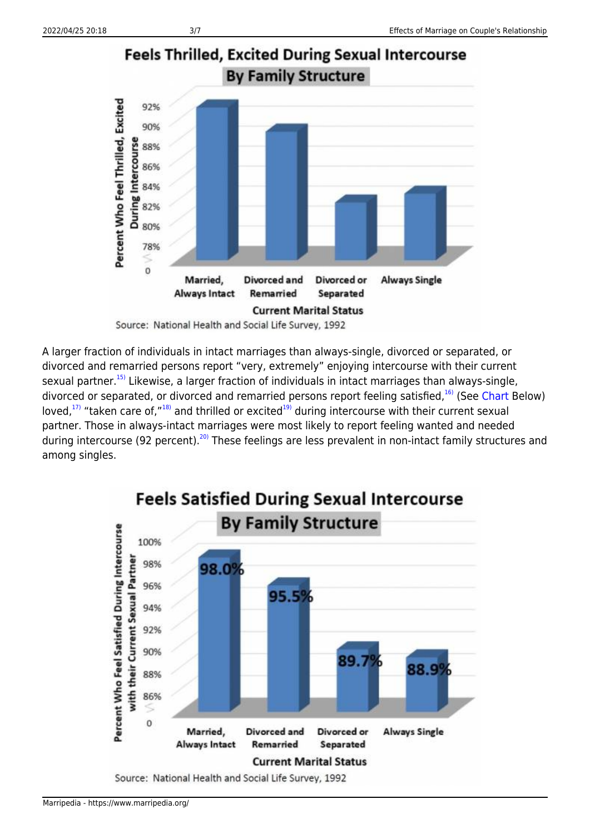

Source: National Health and Social Life Survey, 1992

A larger fraction of individuals in intact marriages than always-single, divorced or separated, or divorced and remarried persons report "very, extremely" enjoying intercourse with their current sexual partner.<sup>[15\)](#page--1-0)</sup> Likewise, a larger fraction of individuals in intact marriages than always-single, divorced or separated, or divorced and remarried persons report feeling satisfied,  $^{16}$  (See [Chart](http://downloads.frc.org/EF/EF13I38.pdf) Below) loved,<sup>[17\)](#page--1-0)</sup> "taken care of,"<sup>[18\)](#page--1-0)</sup> and thrilled or excited<sup>[19\)](#page--1-0)</sup> during intercourse with their current sexual partner. Those in always-intact marriages were most likely to report feeling wanted and needed during intercourse (92 percent).<sup>20</sup> These feelings are less prevalent in non-intact family structures and among singles.



## **Feels Satisfied During Sexual Intercourse**

Source: National Health and Social Life Survey, 1992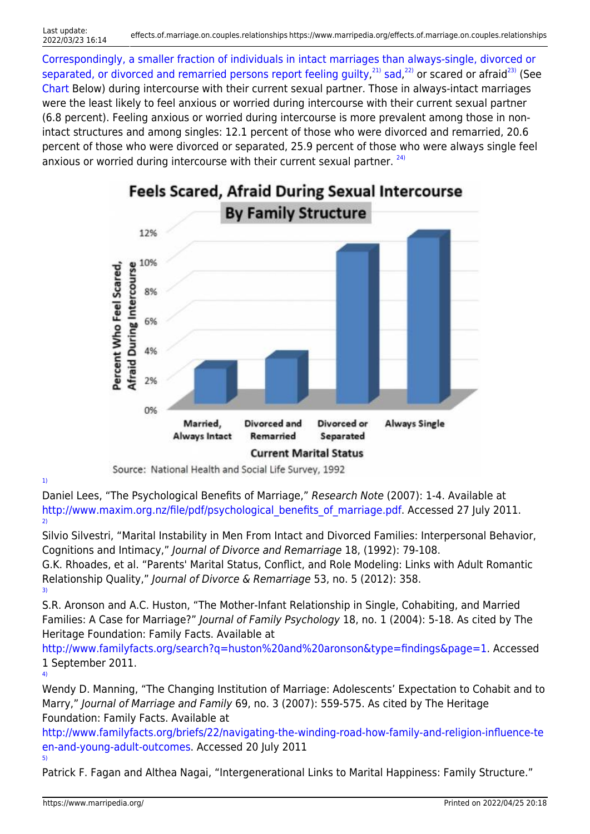[Correspondingly, a smaller fraction of individuals in intact marriages than always-single, divorced or](http://marri.us/wp-content/uploads/MA-118.pdf) [separated, or divorced and remarried persons report feeling](http://marri.us/wp-content/uploads/MA-118.pdf) [guilty,](http://marri.us/get.cfm?i=MA12H04)<sup>[21\)](#page--1-0)</sup> [sad](http://marri.us/wp-content/uploads/MA-126.pdf),<sup>[22\)](#page--1-0)</sup> or scared or afraid<sup>[23\)](#page--1-0)</sup> (See [Chart](http://marri.us/wp-content/uploads/MA-118.pdf) Below) during intercourse with their current sexual partner. Those in always-intact marriages were the least likely to feel anxious or worried during intercourse with their current sexual partner (6.8 percent). Feeling anxious or worried during intercourse is more prevalent among those in nonintact structures and among singles: 12.1 percent of those who were divorced and remarried, 20.6 percent of those who were divorced or separated, 25.9 percent of those who were always single feel anxious or worried during intercourse with their current sexual partner.  $24$ 



# **Feels Scared, Afraid During Sexual Intercourse**

Source: National Health and Social Life Survey, 1992

[1\)](#page--1-0)

Daniel Lees, "The Psychological Benefits of Marriage," Research Note (2007): 1-4. Available at http://www.maxim.org.nz/file/pdf/psychological benefits of marriage.pdf. Accessed 27 July 2011. [2\)](#page--1-0)

Silvio Silvestri, "Marital Instability in Men From Intact and Divorced Families: Interpersonal Behavior, Cognitions and Intimacy," Journal of Divorce and Remarriage 18, (1992): 79-108.

G.K. Rhoades, et al. "Parents' Marital Status, Conflict, and Role Modeling: Links with Adult Romantic Relationship Quality," Journal of Divorce & Remarriage 53, no. 5 (2012): 358. [3\)](#page--1-0)

S.R. Aronson and A.C. Huston, "The Mother-Infant Relationship in Single, Cohabiting, and Married Families: A Case for Marriage?" Journal of Family Psychology 18, no. 1 (2004): 5-18. As cited by The Heritage Foundation: Family Facts. Available at

<http://www.familyfacts.org/search?q=huston%20and%20aronson&type=findings&page=1>. Accessed 1 September 2011. [4\)](#page--1-0)

Wendy D. Manning, "The Changing Institution of Marriage: Adolescents' Expectation to Cohabit and to Marry," Journal of Marriage and Family 69, no. 3 (2007): 559-575. As cited by The Heritage Foundation: Family Facts. Available at

[http://www.familyfacts.org/briefs/22/navigating-the-winding-road-how-family-and-religion-influence-te](http://www.familyfacts.org/briefs/22/navigating-the-winding-road-how-family-and-religion-influence-teen-and-young-adult-outcomes) [en-and-young-adult-outcomes](http://www.familyfacts.org/briefs/22/navigating-the-winding-road-how-family-and-religion-influence-teen-and-young-adult-outcomes). Accessed 20 July 2011 [5\)](#page--1-0)

Patrick F. Fagan and Althea Nagai, "Intergenerational Links to Marital Happiness: Family Structure."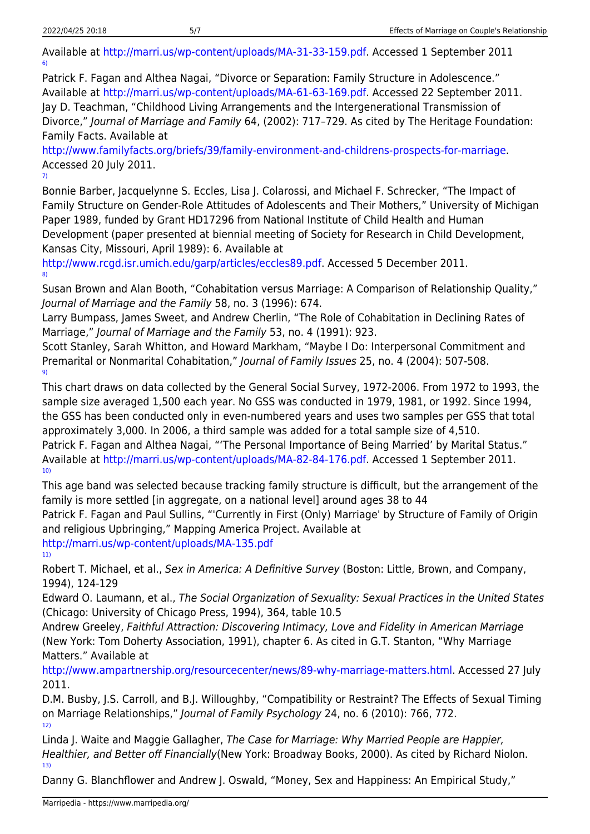[7\)](#page--1-0)

Available at [http://marri.us/wp-content/uploads/MA-31-33-159.pdf.](http://marri.us/wp-content/uploads/MA-31-33-159.pdf) Accessed 1 September 2011 [6\)](#page--1-0)

Patrick F. Fagan and Althea Nagai, "Divorce or Separation: Family Structure in Adolescence." Available at [http://marri.us/wp-content/uploads/MA-61-63-169.pdf.](http://marri.us/wp-content/uploads/MA-61-63-169.pdf) Accessed 22 September 2011. Jay D. Teachman, "Childhood Living Arrangements and the Intergenerational Transmission of Divorce," Journal of Marriage and Family 64, (2002): 717-729. As cited by The Heritage Foundation: Family Facts. Available at

[http://www.familyfacts.org/briefs/39/family-environment-and-childrens-prospects-for-marriage.](http://www.familyfacts.org/briefs/39/family-environment-and-childrens-prospects-for-marriage) Accessed 20 July 2011.

Bonnie Barber, Jacquelynne S. Eccles, Lisa J. Colarossi, and Michael F. Schrecker, "The Impact of Family Structure on Gender-Role Attitudes of Adolescents and Their Mothers," University of Michigan Paper 1989, funded by Grant HD17296 from National Institute of Child Health and Human Development (paper presented at biennial meeting of Society for Research in Child Development, Kansas City, Missouri, April 1989): 6. Available at

<http://www.rcgd.isr.umich.edu/garp/articles/eccles89.pdf>. Accessed 5 December 2011. [8\)](#page--1-0)

Susan Brown and Alan Booth, "Cohabitation versus Marriage: A Comparison of Relationship Quality," Journal of Marriage and the Family 58, no. 3 (1996): 674.

Larry Bumpass, James Sweet, and Andrew Cherlin, "The Role of Cohabitation in Declining Rates of Marriage," Journal of Marriage and the Family 53, no. 4 (1991): 923.

Scott Stanley, Sarah Whitton, and Howard Markham, "Maybe I Do: Interpersonal Commitment and Premarital or Nonmarital Cohabitation," Journal of Family Issues 25, no. 4 (2004): 507-508. [9\)](#page--1-0)

This chart draws on data collected by the General Social Survey, 1972-2006. From 1972 to 1993, the sample size averaged 1,500 each year. No GSS was conducted in 1979, 1981, or 1992. Since 1994, the GSS has been conducted only in even-numbered years and uses two samples per GSS that total approximately 3,000. In 2006, a third sample was added for a total sample size of 4,510.

Patrick F. Fagan and Althea Nagai, "'The Personal Importance of Being Married' by Marital Status." Available at [http://marri.us/wp-content/uploads/MA-82-84-176.pdf.](http://marri.us/wp-content/uploads/MA-82-84-176.pdf) Accessed 1 September 2011. [10\)](#page--1-0)

This age band was selected because tracking family structure is difficult, but the arrangement of the family is more settled [in aggregate, on a national level] around ages 38 to 44

Patrick F. Fagan and Paul Sullins, "'Currently in First (Only) Marriage' by Structure of Family of Origin and religious Upbringing," Mapping America Project. Available at

<http://marri.us/wp-content/uploads/MA-135.pdf> [11\)](#page--1-0)

Robert T. Michael, et al., Sex in America: A Definitive Survey (Boston: Little, Brown, and Company, 1994), 124-129

Edward O. Laumann, et al., The Social Organization of Sexuality: Sexual Practices in the United States (Chicago: University of Chicago Press, 1994), 364, table 10.5

Andrew Greeley, Faithful Attraction: Discovering Intimacy, Love and Fidelity in American Marriage (New York: Tom Doherty Association, 1991), chapter 6. As cited in G.T. Stanton, "Why Marriage Matters." Available at

<http://www.ampartnership.org/resourcecenter/news/89-why-marriage-matters.html>. Accessed 27 July 2011.

D.M. Busby, J.S. Carroll, and B.J. Willoughby, "Compatibility or Restraint? The Effects of Sexual Timing on Marriage Relationships," Journal of Family Psychology 24, no. 6 (2010): 766, 772. [12\)](#page--1-0)

Linda J. Waite and Maggie Gallagher, The Case for Marriage: Why Married People are Happier, Healthier, and Better off Financially(New York: Broadway Books, 2000). As cited by Richard Niolon. [13\)](#page--1-0)

Danny G. Blanchflower and Andrew J. Oswald, "Money, Sex and Happiness: An Empirical Study,"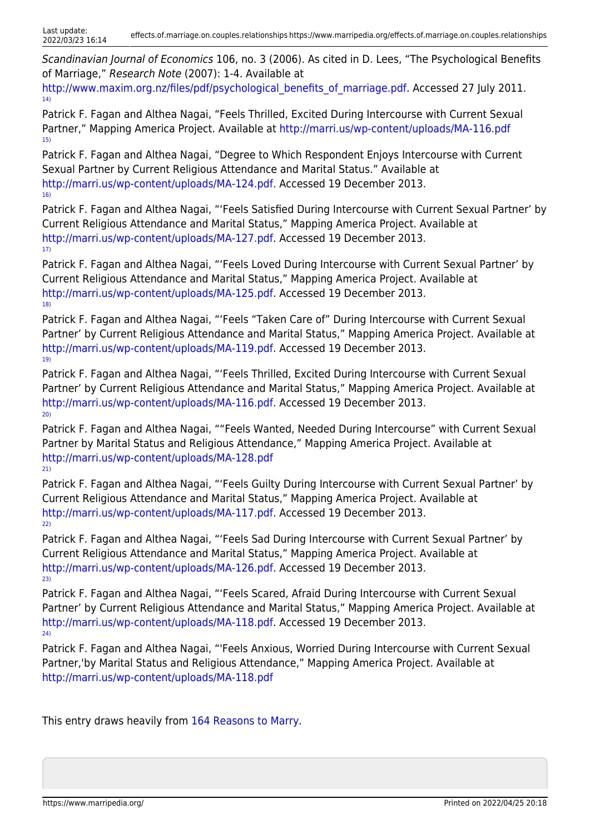Scandinavian Journal of Economics 106, no. 3 (2006). As cited in D. Lees, "The Psychological Benefits of Marriage," Research Note (2007): 1-4. Available at

[http://www.maxim.org.nz/files/pdf/psychological\\_benefits\\_of\\_marriage.pdf](http://www.maxim.org.nz/files/pdf/psychological_benefits_of_marriage.pdf). Accessed 27 July 2011. [14\)](#page--1-0)

Patrick F. Fagan and Althea Nagai, "Feels Thrilled, Excited During Intercourse with Current Sexual Partner," Mapping America Project. Available at<http://marri.us/wp-content/uploads/MA-116.pdf> [15\)](#page--1-0)

Patrick F. Fagan and Althea Nagai, "Degree to Which Respondent Enjoys Intercourse with Current Sexual Partner by Current Religious Attendance and Marital Status." Available at [http://marri.us/wp-content/uploads/MA-124.pdf.](http://marri.us/wp-content/uploads/MA-124.pdf) Accessed 19 December 2013. [16\)](#page--1-0)

Patrick F. Fagan and Althea Nagai, "'Feels Satisfied During Intercourse with Current Sexual Partner' by Current Religious Attendance and Marital Status," Mapping America Project. Available at [http://marri.us/wp-content/uploads/MA-127.pdf.](http://marri.us/wp-content/uploads/MA-127.pdf) Accessed 19 December 2013. [17\)](#page--1-0)

Patrick F. Fagan and Althea Nagai, "'Feels Loved During Intercourse with Current Sexual Partner' by Current Religious Attendance and Marital Status," Mapping America Project. Available at [http://marri.us/wp-content/uploads/MA-125.pdf.](http://marri.us/wp-content/uploads/MA-125.pdf) Accessed 19 December 2013. [18\)](#page--1-0)

Patrick F. Fagan and Althea Nagai, "'Feels "Taken Care of" During Intercourse with Current Sexual Partner' by Current Religious Attendance and Marital Status," Mapping America Project. Available at [http://marri.us/wp-content/uploads/MA-119.pdf.](http://marri.us/wp-content/uploads/MA-119.pdf) Accessed 19 December 2013. [19\)](#page--1-0)

Patrick F. Fagan and Althea Nagai, "'Feels Thrilled, Excited During Intercourse with Current Sexual Partner' by Current Religious Attendance and Marital Status," Mapping America Project. Available at [http://marri.us/wp-content/uploads/MA-116.pdf.](http://marri.us/wp-content/uploads/MA-116.pdf) Accessed 19 December 2013. [20\)](#page--1-0)

Patrick F. Fagan and Althea Nagai, ""Feels Wanted, Needed During Intercourse" with Current Sexual Partner by Marital Status and Religious Attendance," Mapping America Project. Available at <http://marri.us/wp-content/uploads/MA-128.pdf> [21\)](#page--1-0)

Patrick F. Fagan and Althea Nagai, "'Feels Guilty During Intercourse with Current Sexual Partner' by Current Religious Attendance and Marital Status," Mapping America Project. Available at [http://marri.us/wp-content/uploads/MA-117.pdf.](http://marri.us/wp-content/uploads/MA-117.pdf) Accessed 19 December 2013. [22\)](#page--1-0)

Patrick F. Fagan and Althea Nagai, "'Feels Sad During Intercourse with Current Sexual Partner' by Current Religious Attendance and Marital Status," Mapping America Project. Available at [http://marri.us/wp-content/uploads/MA-126.pdf.](http://marri.us/wp-content/uploads/MA-126.pdf) Accessed 19 December 2013.  $23)$ 

Patrick F. Fagan and Althea Nagai, "'Feels Scared, Afraid During Intercourse with Current Sexual Partner' by Current Religious Attendance and Marital Status," Mapping America Project. Available at [http://marri.us/wp-content/uploads/MA-118.pdf.](http://marri.us/wp-content/uploads/MA-118.pdf) Accessed 19 December 2013. [24\)](#page--1-0)

Patrick F. Fagan and Althea Nagai, "'Feels Anxious, Worried During Intercourse with Current Sexual Partner,'by Marital Status and Religious Attendance," Mapping America Project. Available at <http://marri.us/wp-content/uploads/MA-118.pdf>

This entry draws heavily from [164 Reasons to Marry.](http://marri.us/research/research-papers/164-reasons-to-marry/)